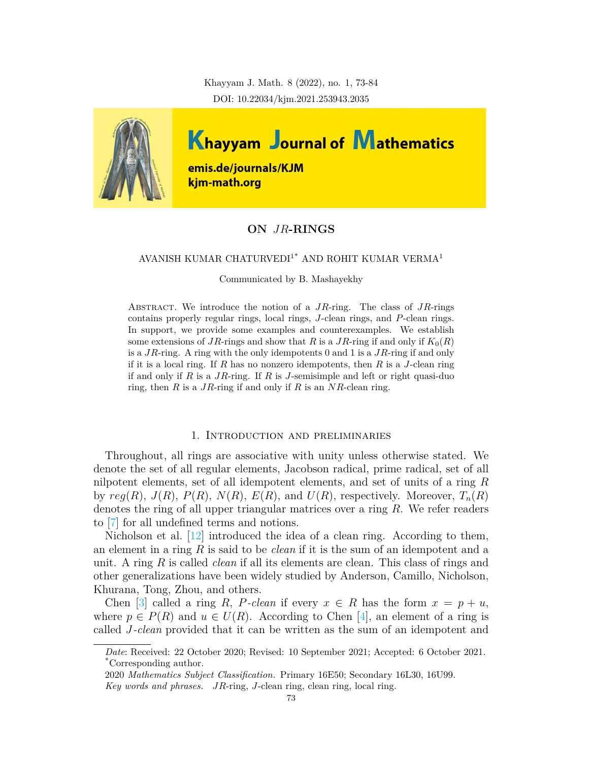Khayyam J. Math. 8 (2022), no. 1, 73-84 DOI: 10.22034/kjm.2021.253943.2035



# **ON** *JR***-RINGS**

## AVANISH KUMAR CHATURVEDI<sup>1\*</sup> AND ROHIT KUMAR VERMA<sup>1</sup>

Communicated by B. Mashayekhy

Abstract. We introduce the notion of a *JR*-ring. The class of *JR*-rings contains properly regular rings, local rings, *J*-clean rings, and *P*-clean rings. In support, we provide some examples and counterexamples. We establish some extensions of *JR*-rings and show that *R* is a *JR*-ring if and only if  $K_0(R)$ is a *JR*-ring. A ring with the only idempotents 0 and 1 is a *JR*-ring if and only if it is a local ring. If *R* has no nonzero idempotents, then *R* is a *J*-clean ring if and only if *R* is a *JR*-ring. If *R* is *J*-semisimple and left or right quasi-duo ring, then *R* is a *JR*-ring if and only if *R* is an *NR*-clean ring.

#### 1. Introduction and preliminaries

Throughout, all rings are associative with unity unless otherwise stated. We denote the set of all regular elements, Jacobson radical, prime radical, set of all nilpotent elements, set of all idempotent elements, and set of units of a ring *R* by  $reg(R)$ ,  $J(R)$ ,  $P(R)$ ,  $N(R)$ ,  $E(R)$ , and  $U(R)$ , respectively. Moreover,  $T_n(R)$ denotes the ring of all upper triangular matrices over a ring *R*. We refer readers to [[7\]](#page-11-0) for all undefined terms and notions.

Nicholson et al.  $\left[12\right]$  $\left[12\right]$  $\left[12\right]$  introduced the idea of a clean ring. According to them, an element in a ring *R* is said to be *clean* if it is the sum of an idempotent and a unit. A ring *R* is called *clean* if all its elements are clean. This class of rings and other generalizations have been widely studied by Anderson, Camillo, Nicholson, Khurana, Tong, Zhou, and others.

Chen [\[3](#page-11-2)] called a ring *R*, *P*-clean if every  $x \in R$  has the form  $x = p + u$ , where  $p \in P(R)$  and  $u \in U(R)$ . According to Chen [\[4](#page-11-3)], an element of a ring is called *J-clean* provided that it can be written as the sum of an idempotent and

*Date*: Received: 22 October 2020; Revised: 10 September 2021; Accepted: 6 October 2021. \*Corresponding author.

<sup>2020</sup> *Mathematics Subject Classification.* Primary 16E50; Secondary 16L30, 16U99. *Key words and phrases. JR*-ring, *J*-clean ring, clean ring, local ring.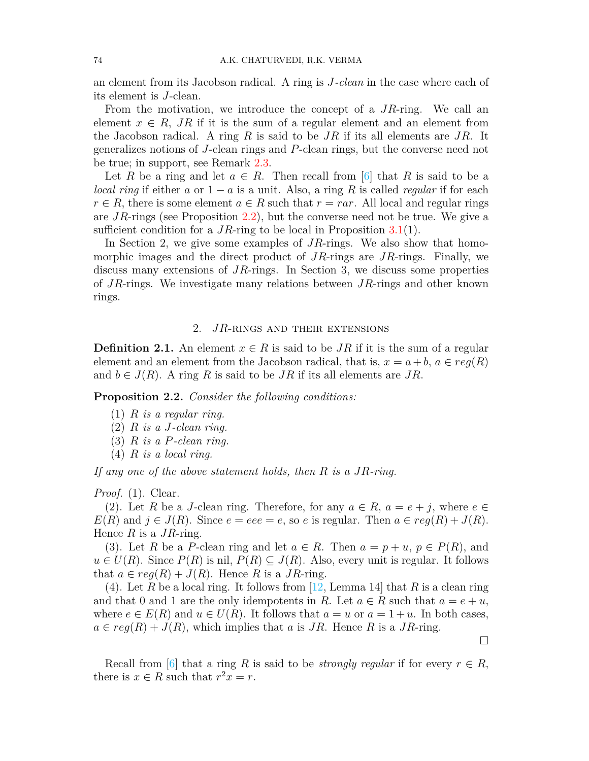an element from its Jacobson radical. A ring is *J-clean* in the case where each of its element is *J*-clean.

From the motivation, we introduce the concept of a *JR*-ring. We call an element  $x \in R$ , *JR* if it is the sum of a regular element and an element from the Jacobson radical. A ring *R* is said to be *JR* if its all elements are *JR*. It generalizes notions of *J*-clean rings and *P*-clean rings, but the converse need not be true; in support, see Remark 2.3.

Let *R* be a ring and let  $a \in R$ . Then recall from [\[6](#page-11-4)] that *R* is said to be a *local ring* if either *a* or  $1 - a$  is a unit. Also, a ring *R* is called *regular* if for each  $r \in R$ , there is some element  $a \in R$  such that  $r = r a r$ . All local and regular rings are *JR*-rings (see Proposition [2.2\)](#page-1-0), but the converse need not be true. We give a sufficient condition for a *JR*-ring to be local in Proposition [3.1](#page-7-0)(1).

In Section 2, we give some examples of *JR*-rings. We also show that homomorphic images and the direct product of *JR*-rings are *JR*-rings. Finally, we discuss many extensions of *JR*-rings. In Section 3, we discuss some properties of *JR*-rings. We investigate many relations between *JR*-rings and other known rings.

## 2. *JR*-rings and their extensions

**Definition 2.1.** An element  $x \in R$  is said to be *JR* if it is the sum of a regular element and an element from the Jacobson radical, that is,  $x = a + b$ ,  $a \in reg(R)$ and  $b \in J(R)$ . A ring R is said to be  $JR$  if its all elements are  $JR$ .

<span id="page-1-0"></span>**Proposition 2.2.** *Consider the following conditions:*

- (1) *R is a regular ring.*
- (2) *R is a J-clean ring.*
- (3) *R is a P-clean ring.*
- (4) *R is a local ring.*

*If any one of the above statement holds, then R is a JR-ring.*

*Proof.* (1). Clear.

(2). Let *R* be a *J*-clean ring. Therefore, for any  $a \in R$ ,  $a = e + j$ , where  $e \in$  $E(R)$  and  $j \in J(R)$ . Since  $e = eee = e$ , so  $e$  is regular. Then  $a \in reg(R) + J(R)$ . Hence *R* is a *JR*-ring.

(3). Let *R* be a *P*-clean ring and let  $a \in R$ . Then  $a = p + u$ ,  $p \in P(R)$ , and  $u \in U(R)$ . Since  $P(R)$  is nil,  $P(R) \subseteq J(R)$ . Also, every unit is regular. It follows that  $a \in \text{req}(R) + J(R)$ . Hence R is a JR-ring.

(4). Let *R* be a local ring. It follows from [\[12](#page-11-1), Lemma 14] that *R* is a clean ring and that 0 and 1 are the only idempotents in *R*. Let  $a \in R$  such that  $a = e + u$ , where  $e \in E(R)$  and  $u \in U(R)$ . It follows that  $a = u$  or  $a = 1 + u$ . In both cases,  $a \in reg(R) + J(R)$ , which implies that *a* is *JR*. Hence *R* is a *JR*-ring.

Recall from [\[6\]](#page-11-4) that a ring R is said to be *strongly regular* if for every  $r \in R$ , there is  $x \in R$  such that  $r^2x = r$ .

□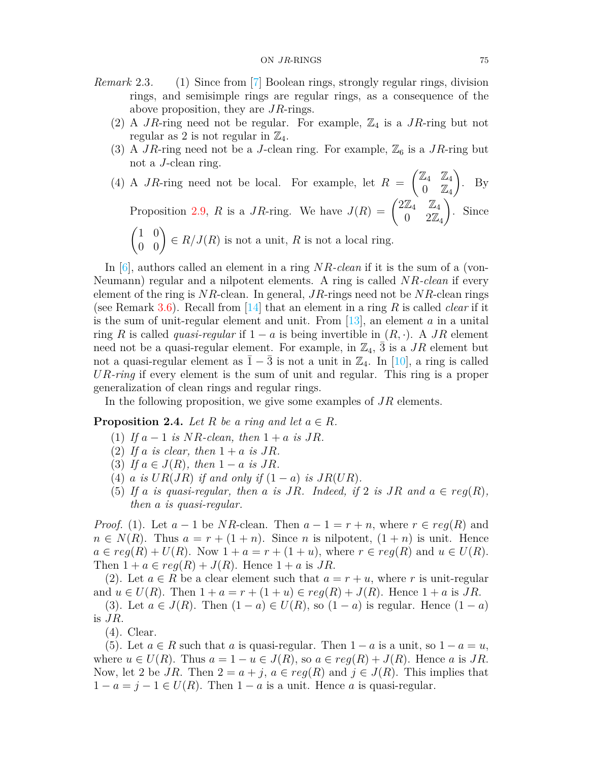- *Remark* 2.3*.* (1) Since from [\[7](#page-11-0)] Boolean rings, strongly regular rings, division rings, and semisimple rings are regular rings, as a consequence of the above proposition, they are *JR*-rings.
	- (2) A *JR*-ring need not be regular. For example,  $\mathbb{Z}_4$  is a *JR*-ring but not regular as 2 is not regular in  $\mathbb{Z}_4$ .
	- (3) A *JR*-ring need not be a *J*-clean ring. For example,  $\mathbb{Z}_6$  is a *JR*-ring but not a *J*-clean ring.
	- (4) A *JR*-ring need not be local. For example, let  $R =$  $\boxed{\mathbb{Z}_4}$   $\mathbb{Z}_4$  $0 \quad \mathbb{Z}_4$  $\setminus$ . By Proposition [2.9,](#page-3-0) *R* is a *JR*-ring. We have  $J(R) = \begin{pmatrix} 2\mathbb{Z}_4 & \mathbb{Z}_4 \\ 0 & 2\mathbb{Z} \end{pmatrix}$ 0  $2\mathbb{Z}_4$  $\setminus$ . Since  $\begin{pmatrix} 1 & 0 \\ 0 & 0 \end{pmatrix} \in R/J(R)$  is not a unit, *R* is not a local ring.

In [\[6\]](#page-11-4), authors called an element in a ring *NR-clean* if it is the sum of a (von-Neumann) regular and a nilpotent elements. A ring is called *NR-clean* if every element of the ring is *NR*-clean. In general, *JR*-rings need not be *NR*-clean rings (see Remark 3.6). Recall from [\[14\]](#page-11-5) that an element in a ring *R* is called *clear* if it is the sum of unit-regular element and unit. From [\[13](#page-11-6)], an element *a* in a unital ring *R* is called *quasi-regular* if  $1 - a$  is being invertible in  $(R, \cdot)$ . A *JR* element need not be a quasi-regular element. For example, in  $\mathbb{Z}_4$ ,  $\bar{3}$  is a *JR* element but not a quasi-regular element as  $\overline{1} - \overline{3}$  is not a unit in  $\mathbb{Z}_4$ . In [\[10\]](#page-11-7), a ring is called *UR-ring* if every element is the sum of unit and regular. This ring is a proper generalization of clean rings and regular rings.

In the following proposition, we give some examples of *JR* elements.

**Proposition 2.4.** *Let*  $R$  *be a ring and let*  $a \in R$ *.* 

- (1) If  $a 1$  is  $NR$ -clean, then  $1 + a$  is JR.
- (2) If a is clear, then  $1 + a$  is JR.
- (3) If  $a \in J(R)$ , then  $1 a$  is  $JR$ .
- (4) *a* is  $UR(JR)$  if and only if  $(1 a)$  is  $JR(UR)$ .
- (5) If a *is quasi-regular, then a is JR.* Indeed, if 2 *is JR* and  $a \in reg(R)$ , *then a is quasi-regular.*

*Proof.* (1). Let  $a-1$  be *NR*-clean. Then  $a-1 = r+n$ , where  $r \in reg(R)$  and  $n \in N(R)$ . Thus  $a = r + (1 + n)$ . Since *n* is nilpotent,  $(1 + n)$  is unit. Hence  $a \in reg(R) + U(R)$ . Now  $1 + a = r + (1 + u)$ , where  $r \in reg(R)$  and  $u \in U(R)$ . Then  $1 + a \in reg(R) + J(R)$ . Hence  $1 + a$  is *JR*.

(2). Let  $a \in R$  be a clear element such that  $a = r + u$ , where r is unit-regular and  $u \in U(R)$ . Then  $1 + a = r + (1 + u) \in \text{reg}(R) + J(R)$ . Hence  $1 + a$  is *JR*.

(3). Let  $a \in J(R)$ . Then  $(1 - a) \in U(R)$ , so  $(1 - a)$  is regular. Hence  $(1 - a)$ is *JR*.

(4). Clear.

(5). Let  $a \in R$  such that  $a$  is quasi-regular. Then  $1 - a$  is a unit, so  $1 - a = u$ , where  $u \in U(R)$ . Thus  $a = 1 - u \in J(R)$ , so  $a \in reg(R) + J(R)$ . Hence a is *JR*. Now, let 2 be *JR*. Then  $2 = a + j$ ,  $a \in reg(R)$  and  $j \in J(R)$ . This implies that 1 *−*  $a = j - 1 \in U(R)$ . Then 1 −  $a$  is a unit. Hence  $a$  is quasi-regular.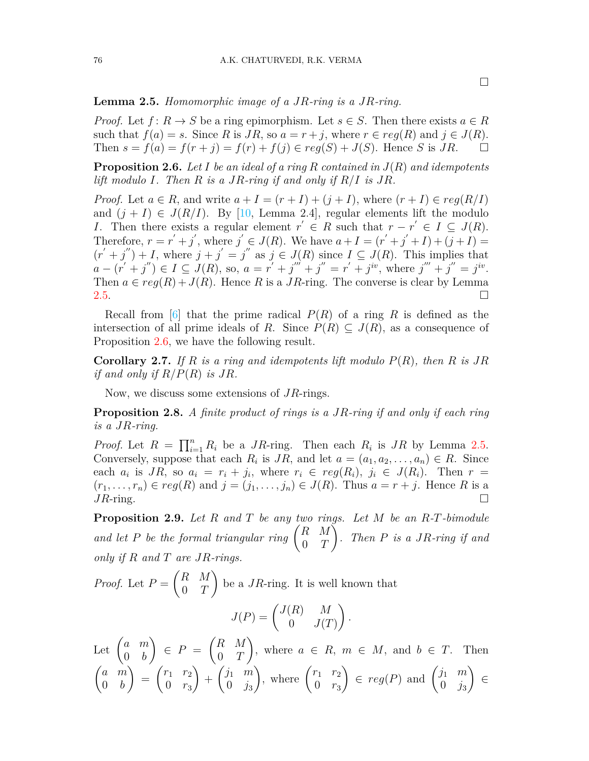□

<span id="page-3-1"></span>**Lemma 2.5.** *Homomorphic image of a JR-ring is a JR-ring.*

*Proof.* Let  $f: R \to S$  be a ring epimorphism. Let  $s \in S$ . Then there exists  $a \in R$ such that  $f(a) = s$ . Since R is  $JR$ , so  $a = r + j$ , where  $r \in reg(R)$  and  $j \in J(R)$ . Then  $s = f(a) = f(r + j) = f(r) + f(j) \in reg(S) + J(S)$ . Hence *S* is *JR*. □

<span id="page-3-2"></span>**Proposition 2.6.** *Let I be an ideal of a ring R contained in J*(*R*) *and idempotents lift modulo I. Then R is a JR-ring if and only if R/I is JR.*

*Proof.* Let  $a \in R$ , and write  $a + I = (r + I) + (j + I)$ , where  $(r + I) \in reg(R/I)$ and  $(j + I) \in J(R/I)$ . By [\[10,](#page-11-7) Lemma 2.4], regular elements lift the modulo *I*. Then there exists a regular element  $r' \in R$  such that  $r - r' \in I \subseteq J(R)$ . Therefore,  $r = r' + j'$ , where  $j' \in J(R)$ . We have  $a + I = (r' + j' + I) + (j + I) =$  $(r' + j'') + I$ , where  $j + j' = j''$  as  $j \in J(R)$  since  $I \subseteq J(R)$ . This implies that  $a - (r' + j'') \in I \subseteq J(R)$ , so,  $a = r' + j''' + j'' = r' + j^{iv}$ , where  $j''' + j'' = j^{iv}$ . Then  $a \in \text{req}(R) + J(R)$ . Hence R is a JR-ring. The converse is clear by Lemma [2.5](#page-3-1).  $\Box$ 

Recall from  $\lceil 6 \rceil$  that the prime radical  $P(R)$  of a ring R is defined as the intersection of all prime ideals of *R*. Since  $P(R) \subseteq J(R)$ , as a consequence of Proposition [2.6](#page-3-2), we have the following result.

**Corollary 2.7.** *If R is a ring and idempotents lift modulo P*(*R*)*, then R is JR if and only if*  $R/P(R)$  *is*  $JR$ *.* 

Now, we discuss some extensions of *JR*-rings.

**Proposition 2.8.** *A finite product of rings is a JR-ring if and only if each ring is a JR-ring.*

*Proof.* Let  $R = \prod_{i=1}^{n} R_i$  be a *JR*-ring. Then each  $R_i$  is *JR* by Lemma [2.5.](#page-3-1) Conversely, suppose that each  $R_i$  is  $JR$ , and let  $a = (a_1, a_2, \ldots, a_n) \in R$ . Since each  $a_i$  is JR, so  $a_i = r_i + j_i$ , where  $r_i \in reg(R_i)$ ,  $j_i \in J(R_i)$ . Then  $r =$  $(r_1, \ldots, r_n) \in \text{reg}(R)$  and  $j = (j_1, \ldots, j_n) \in J(R)$ . Thus  $a = r + j$ . Hence R is a  $JR$ -ring.  $\Box$ 

<span id="page-3-0"></span>**Proposition 2.9.** *Let R and T be any two rings. Let M be an R-T-bimodule* and let P be the formal triangular ring  $\begin{pmatrix} R & M \\ 0 & T \end{pmatrix}$ 0 *T* Ň *. Then P is a JR-ring if and only if R and T are JR-rings.*

*Proof.* Let  $P =$ ( *R M* 0 *T*  $\setminus$ be a *JR*-ring. It is well known that  $J(P) = \begin{pmatrix} J(R) & M \\ 0 & I(T) \end{pmatrix}$  $0$   $J(T)$  $\setminus$ *.* Let  $\begin{pmatrix} a & m \\ 0 & b \end{pmatrix}$ 0 *b*  $\setminus$ *∈ P* = ( *R M* 0 *T*  $\setminus$ , where  $a \in R$ ,  $m \in M$ , and  $b \in T$ . Then ( *a m* 0 *b*  $\setminus$ =  $\int r_1 \, r_2$ 0 *r*<sup>3</sup>  $\setminus$  $+$  $\int j_1 \dot{m}$  $0 \t j_3$ ), where  $\begin{pmatrix} r_1 & r_2 \\ 0 & r_1 \end{pmatrix}$ 0 *r*<sup>3</sup>  $\left\{ \begin{array}{ll} \n\text{if } m \text{ is a } \begin{pmatrix} j_1 & m \\ n & j \end{pmatrix} \right\}$  $0 \t j_3$  $\setminus$ *∈*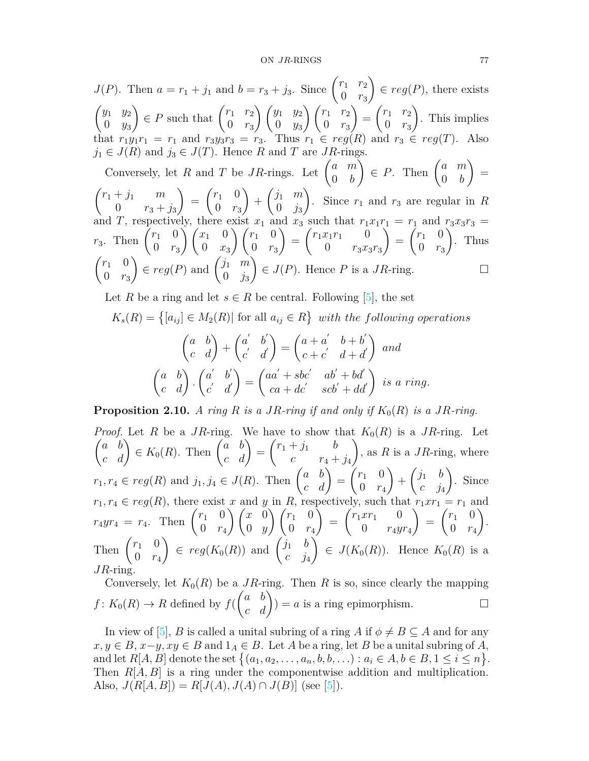*J*(*P*). Then  $a = r_1 + j_1$  and  $b = r_3 + j_3$ . Since  $\begin{pmatrix} r_1 & r_2 \\ 0 & r_1 \end{pmatrix}$ 0 *r*<sup>3</sup>  $\setminus$ *∈ reg*(*P*), there exists ( *y*<sup>1</sup> *y*<sup>2</sup> 0 *y*<sup>3</sup>  $\left\{ P \text{ such that } \begin{pmatrix} r_1 & r_2 \\ 0 & r_1 \end{pmatrix} \right\}$ 0 *r*<sup>3</sup> ) (*y*<sup>1</sup> *y*<sup>2</sup> 0 *y*<sup>3</sup>  $\left( r_1 \right) r_2$ 0 *r*<sup>3</sup>  $\setminus$ =  $\int r_1 \, r_2$ 0 *r*<sup>3</sup>  $\setminus$ . This implies that  $r_1y_1r_1 = r_1$  and  $r_3y_3r_3 = r_3$ . Thus  $r_1 \in reg(R)$  and  $r_3 \in reg(T)$ . Also  $j_1 \in J(R)$  and  $j_3 \in J(T)$ . Hence *R* and *T* are *JR*-rings.

Conversely, let *R* and *T* be *JR*-rings. Let  $\begin{pmatrix} a & m \\ 0 & b \end{pmatrix}$ 0 *b*  $\left( \begin{array}{cc} a & m \\ c & b \end{array} \right)$   $\in P$ . Then  $\left( \begin{array}{cc} a & m \\ 0 & b \end{array} \right)$ 0 *b*  $\setminus$ =  $\int r_1 + j_1 \, m$ 0  $r_3 + j_3$  $\setminus$ =  $\int_1^1 0$ 0 *r*<sup>3</sup>  $\setminus$  $+$  $\int j_1$  *m*  $0 \t j_3$  $\setminus$ . Since *r*<sup>1</sup> and *r*<sup>3</sup> are regular in *R* and *T*, respectively, there exist  $x_1$  and  $x_3$  such that  $r_1x_1r_1 = r_1$  and  $r_3x_3r_3 =$  $r_3$ . Then  $\begin{pmatrix} r_1 & 0 \\ 0 & r_1 \end{pmatrix}$ 0 *r*<sup>3</sup>  $\int x_1 = 0$ 0 *x*<sup>3</sup>  $\left(\begin{matrix}r_1 & 0\end{matrix}\right)$ 0 *r*<sup>3</sup>  $\setminus$ =  $\int r_1 x_1 r_1 = 0$ 0 *r*3*x*3*r*<sup>3</sup>  $\sqrt{ }$ =  $\bar{r}_1$  0 0 *r*<sup>3</sup>  $\sqrt{ }$ . Thus  $\int r_1 = 0$ 0 *r*<sup>3</sup>  $\epsilon$  *reg*(*P*) and  $\begin{pmatrix} j_1 & m \\ 0 & j_1 \end{pmatrix}$  $0 \t j_3$  $\setminus$  $\in$  *J*(*P*). Hence *P* is a *JR*-ring. □

Let *R* be a ring and let  $s \in R$  be central. Following [\[5](#page-11-8)], the set

$$
K_s(R) = \{ [a_{ij}] \in M_2(R) | \text{ for all } a_{ij} \in R \} \text{ with the following operations}
$$

$$
\begin{pmatrix} a & b \\ c & d \end{pmatrix} + \begin{pmatrix} a' & b' \\ c' & d' \end{pmatrix} = \begin{pmatrix} a+a' & b+b' \\ c+c' & d+d' \end{pmatrix} \text{ and}
$$

$$
\begin{pmatrix} a & b \\ c & d \end{pmatrix} \cdot \begin{pmatrix} a' & b' \\ c' & d' \end{pmatrix} = \begin{pmatrix} aa' + sbc' & ab' + bd' \\ ca + dc' & scb' + dd' \end{pmatrix} \text{ is a ring.}
$$

**Proposition 2.10.** *A ring*  $R$  *is a*  $JR$ *-ring if and only if*  $K_0(R)$  *is a*  $JR$ *-ring.* 

*Proof.* Let *R* be a *JR*-ring. We have to show that  $K_0(R)$  is a *JR*-ring. Let  $\begin{pmatrix} a & b \\ c & d \end{pmatrix} \in K_0(R)$ . Then  $\begin{pmatrix} a & b \\ c & d \end{pmatrix} =$  $\int r_1 + j_1$  *b c*  $r_4 + j_4$  $\setminus$ , as *R* is a *JR*-ring, where  $r_1, r_4 \in reg(R)$  and  $j_1, j_4 \in J(R)$ . Then  $\begin{pmatrix} a & b \\ c & d \end{pmatrix} =$  $\int r_1$  0 0 *r*<sup>4</sup>  $\setminus$  $+$  $\int j_1$  *b c j*<sup>4</sup>  $\setminus$ . Since  $r_1, r_4 \in reg(R)$ , there exist *x* and *y* in *R*, respectively, such that  $r_1 x r_1 = r_1$  and  $r_4yr_4 = r_4$ . Then  $\begin{pmatrix} r_1 & 0 \\ 0 & r_1 \end{pmatrix}$ 0 *r*<sup>4</sup>  $\bigwedge$   $\bigwedge x = 0$ 0 *y*  $\left(\begin{matrix}r_1 & 0\end{matrix}\right)$ 0 *r*<sup>4</sup>  $\bar{\wedge}$ =  $\int r_1 x r_1$  0 0 *r*4*yr*<sup>4</sup>  $\setminus$ =  $\int_1^1 0$ 0 *r*<sup>4</sup>  $\setminus$ . Then  $\begin{pmatrix} r_1 & 0 \\ 0 & r_1 \end{pmatrix}$ 0 *r*<sup>4</sup>  $\left( \begin{array}{cc} \cdot & \cdot \\ \cdot & \cdot \\ \cdot & \cdot \end{array} \right)$   $\in reg(K_0(R))$  and  $\left( \begin{array}{cc} \cdot & \cdot \\ \cdot & \cdot \\ \cdot & \cdot \end{array} \right)$ *c j*<sup>4</sup>  $\bigwedge^r$  $\in$  *J*(*K*<sub>0</sub>(*R*)). Hence *K*<sub>0</sub>(*R*) is a *JR*-ring.

Conversely, let  $K_0(R)$  be a *JR*-ring. Then *R* is so, since clearly the mapping  $f: K_0(R) \to R$  defined by  $f(A)$  $\begin{pmatrix} a & b \\ c & d \end{pmatrix}$  = *a* is a ring epimorphism. □

In view of [[5\]](#page-11-8), *B* is called a unital subring of a ring *A* if  $\phi \neq B \subseteq A$  and for any *x*, *y* ∈ *B*, *x*−*y*, *xy* ∈ *B* and 1<sub>*A*</sub> ∈ *B*. Let *A* be a ring, let *B* be a unital subring of *A*, and let  $R[A, B]$  denote the set  $\{(a_1, a_2, \ldots, a_n, b, b, \ldots): a_i \in A, b \in B, 1 \le i \le n\}.$ Then *R*[*A, B*] is a ring under the componentwise addition and multiplication. Also,  $J(R[A, B]) = R[J(A), J(A) \cap J(B)]$  (see [\[5\]](#page-11-8)).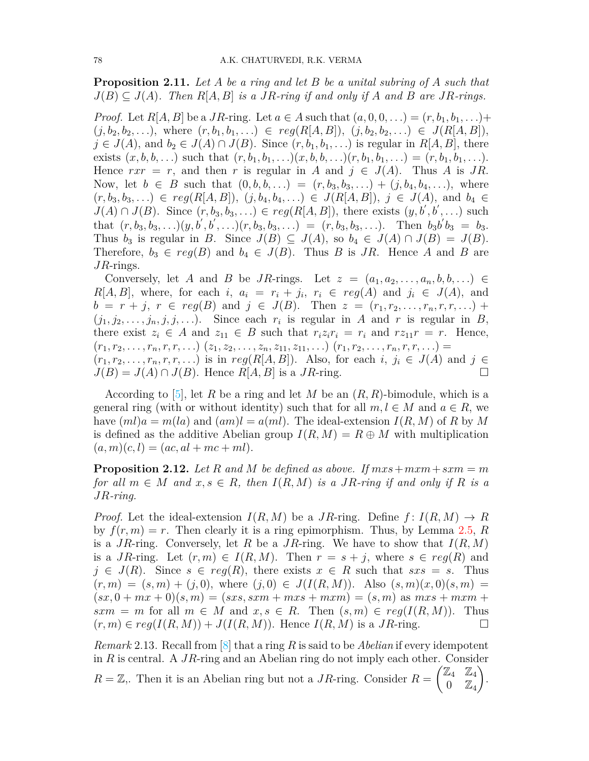**Proposition 2.11.** *Let A be a ring and let B be a unital subring of A such that*  $J(B) \subseteq J(A)$ . Then  $R[A, B]$  is a JR-ring if and only if A and B are JR-rings.

*Proof.* Let  $R[A, B]$  be a *JR*-ring. Let  $a \in A$  such that  $(a, 0, 0, ...) = (r, b_1, b_1, ...)$  $(j, b_2, b_2, \ldots)$ , where  $(r, b_1, b_1, \ldots) \in \text{reg}(R[A, B]), (j, b_2, b_2, \ldots) \in J(R[A, B]),$ *j* ∈ *J*(*A*), and *b*<sub>2</sub> ∈ *J*(*A*)  $\cap$  *J*(*B*). Since  $(r, b_1, b_1, \ldots)$  is regular in *R*[*A, B*], there exists  $(x, b, b, \ldots)$  such that  $(r, b_1, b_1, \ldots)(x, b, b, \ldots)(r, b_1, b_1, \ldots) = (r, b_1, b_1, \ldots)$ . Hence  $rxr = r$ , and then *r* is regular in *A* and  $j \in J(A)$ . Thus *A* is *JR*. Now, let  $b \in B$  such that  $(0, b, b, ...) = (r, b_3, b_3, ...) + (j, b_4, b_4, ...)$ , where  $(r, b_3, b_3, \ldots) \in reg(R[A, B]), (j, b_4, b_4, \ldots) \in J(R[A, B]), j \in J(A), \text{ and } b_4 \in$ *J*(*A*) ∩ *J*(*B*). Since  $(r, b_3, b_3, ...)$   $∈$   $reg(R[A, B])$ , there exists  $(y, b', b', ...)$  such that  $(r, b_3, b_3, \ldots)(y, b', b', \ldots)(r, b_3, b_3, \ldots) = (r, b_3, b_3, \ldots)$ . Then  $b_3b'b_3 = b_3$ . Thus  $b_3$  is regular in *B*. Since  $J(B) \subseteq J(A)$ , so  $b_4 \in J(A) \cap J(B) = J(B)$ . Therefore,  $b_3 \in reg(B)$  and  $b_4 \in J(B)$ . Thus *B* is *JR*. Hence *A* and *B* are *JR*-rings.

Conversely, let *A* and *B* be *JR*-rings. Let  $z = (a_1, a_2, \ldots, a_n, b, b, \ldots) \in$  $R[A, B]$ , where, for each *i*,  $a_i = r_i + j_i$ ,  $r_i \in reg(A)$  and  $j_i \in J(A)$ , and  $b = r + j, r \in reg(B)$  and  $j \in J(B)$ . Then  $z = (r_1, r_2, \ldots, r_n, r, r, \ldots)$  $(j_1, j_2, \ldots, j_n, j, j, \ldots)$ . Since each  $r_i$  is regular in *A* and *r* is regular in *B*, there exist  $z_i \in A$  and  $z_{11} \in B$  such that  $r_i z_i r_i = r_i$  and  $r z_{11} r = r$ . Hence,  $(r_1, r_2, \ldots, r_n, r, r, \ldots)$   $(z_1, z_2, \ldots, z_n, z_{11}, z_{11}, \ldots)$   $(r_1, r_2, \ldots, r_n, r, r, \ldots)$ 

 $(r_1, r_2, \ldots, r_n, r, r, \ldots)$  is in  $reg(R[A, B])$ . Also, for each *i*,  $j_i \in J(A)$  and  $j \in J(A)$  $J(B) = J(A) \cap J(B)$ . Hence  $R[A, B]$  is a *JR*-ring. □

According to [\[5\]](#page-11-8), let *R* be a ring and let *M* be an (*R, R*)-bimodule, which is a general ring (with or without identity) such that for all  $m, l \in M$  and  $a \in R$ , we have  $(ml)a = m(la)$  and  $(am)l = a(ml)$ . The ideal-extension  $I(R, M)$  of R by M is defined as the additive Abelian group  $I(R, M) = R \oplus M$  with multiplication  $(a, m)(c, l) = (ac, al + mc + ml).$ 

**Proposition 2.12.** Let R and M be defined as above. If  $mxs + mxm + sxm = m$ *for all*  $m \in M$  *and*  $x, s \in R$ *, then*  $I(R, M)$  *is a JR-ring if and only if R is a JR-ring.*

*Proof.* Let the ideal-extension  $I(R, M)$  be a *JR*-ring. Define  $f: I(R, M) \to R$ by  $f(r, m) = r$ . Then clearly it is a ring epimorphism. Thus, by Lemma [2.5,](#page-3-1) *R* is a *JR*-ring. Conversely, let *R* be a *JR*-ring. We have to show that  $I(R, M)$ is a *JR*-ring. Let  $(r, m) \in I(R, M)$ . Then  $r = s + j$ , where  $s \in reg(R)$  and  $j \in J(R)$ . Since  $s \in reg(R)$ , there exists  $x \in R$  such that  $sxs = s$ . Thus  $(r, m) = (s, m) + (j, 0)$ , where  $(j, 0) \in J(I(R, M))$ . Also  $(s, m)(x, 0)(s, m) =$  $(sx, 0 + mx + 0)(s, m) = (sxs, sxm + mxs + mxm) = (s, m)$  as  $mxs + mxm +$  $sxm = m$  for all  $m \in M$  and  $x, s \in R$ . Then  $(s,m) \in reg(I(R,M))$ . Thus  $(r, m) \in reg(I(R, M)) + J(I(R, M))$ . Hence  $I(R, M)$  is a *JR*-ring. □

*Remark* 2.13*.* Recall from [[8\]](#page-11-9) that a ring *R* is said to be *Abelian* if every idempotent in *R* is central. A *JR*-ring and an Abelian ring do not imply each other. Consider  $R = \mathbb{Z}$ . Then it is an Abelian ring but not a *JR*-ring. Consider  $R =$  $\boxed{\mathbb{Z}_4}$   $\mathbb{Z}_4$  $0 \quad \mathbb{Z}_4$  $\setminus$ .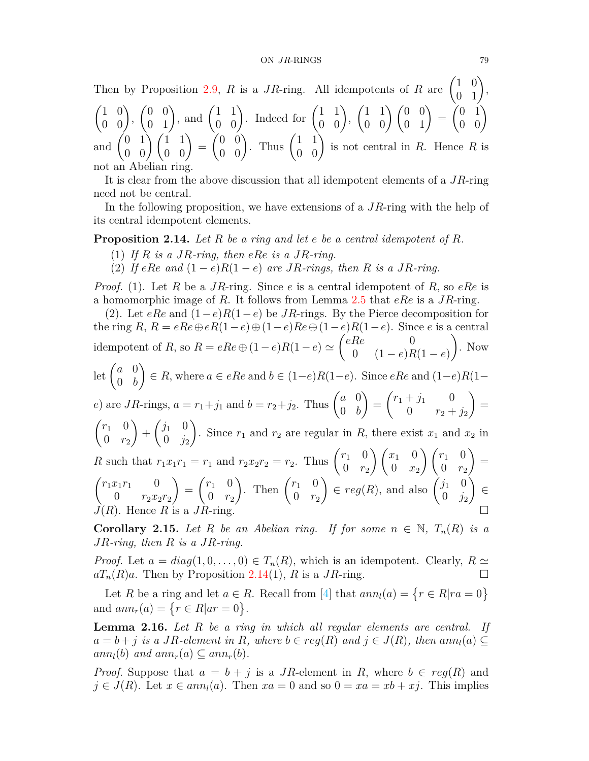Then by Proposition [2.9](#page-3-0), *R* is a *JR*-ring. All idempotents of *R* are  $\begin{pmatrix} 1 & 0 \\ 0 & 1 \end{pmatrix}$ ,  $\begin{pmatrix} 1 & 0 \\ 0 & 0 \end{pmatrix}$  $\begin{pmatrix} 0 & 0 \\ 0 & 1 \end{pmatrix}$ , and  $\begin{pmatrix} 1 & 1 \\ 0 & 0 \end{pmatrix}$ . Indeed for  $\begin{pmatrix} 1 & 1 \\ 0 & 0 \end{pmatrix}$ ,  $\begin{pmatrix} 1 & 1 \\ 0 & 0 \end{pmatrix} \begin{pmatrix} 0 & 0 \\ 0 & 1 \end{pmatrix} =$  $\begin{pmatrix} 0 & 1 \\ 0 & 0 \end{pmatrix}$ and  $\begin{pmatrix} 0 & 1 \\ 0 & 0 \end{pmatrix} \begin{pmatrix} 1 & 1 \\ 0 & 0 \end{pmatrix} =$  $\begin{pmatrix} 0 & 0 \\ 0 & 0 \end{pmatrix}$ . Thus  $\begin{pmatrix} 1 & 1 \\ 0 & 0 \end{pmatrix}$  is not central in *R*. Hence *R* is not an Abelian ring.

It is clear from the above discussion that all idempotent elements of a *JR*-ring need not be central.

In the following proposition, we have extensions of a *JR*-ring with the help of its central idempotent elements.

<span id="page-6-0"></span>**Proposition 2.14.** *Let R be a ring and let e be a central idempotent of R.*

- (1) *If R is a JR-ring, then eRe is a JR-ring.*
- (2) If  $eRe$  and  $(1-e)R(1-e)$  are *JR*-rings, then *R* is a *JR*-ring.

*Proof.* (1). Let *R* be a *JR*-ring. Since *e* is a central idempotent of *R*, so *eRe* is a homomorphic image of *R*. It follows from Lemma [2.5](#page-3-1) that *eRe* is a *JR*-ring.

(2). Let *eRe* and (1*−e*)*R*(1*−e*) be *JR*-rings. By the Pierce decomposition for the ring  $R$ ,  $R = eRe \oplus eR(1-e) \oplus (1-e)Re \oplus (1-e)R(1-e)$ . Since *e* is a central idempotent of *R*, so  $R = eRe \oplus (1 - e)R(1 - e) \simeq$  $\ell e$  0 0 (1 *− e*)*R*(1 *− e*)  $\setminus$ . Now let  $\begin{pmatrix} a & 0 \\ 0 & b \end{pmatrix}$ 0 *b*  $\setminus$ *∈ R*, where *a ∈ eRe* and *b ∈* (1*−e*)*R*(1*−e*). Since *eRe* and (1*−e*)*R*(1*− e*) are *JR*-rings,  $a = r_1 + j_1$  and  $b = r_2 + j_2$ . Thus  $\begin{pmatrix} a & 0 \\ 0 & b \end{pmatrix}$ 0 *b*  $\setminus$ =  $\int r_1 + j_1 = 0$ 0  $r_2 + j_2$  $\setminus$ =  $\int_1^1 0$ 0 *r*<sup>2</sup>  $\setminus$  $+$  $(i_1 \ 0)$  $0 \t j_2$  $\lambda$ . Since  $r_1$  and  $r_2$  are regular in  $R$ , there exist  $x_1$  and  $x_2$  in *R* such that  $r_1x_1r_1 = r_1$  and  $r_2x_2r_2 = r_2$ . Thus  $\begin{pmatrix} r_1 & 0 \\ 0 & r_1 \end{pmatrix}$ 0 *r*<sup>2</sup>  $\bigg\{ \int x_1 \, 0 \,$  $0 \quad x_2$  $\int (r_1) 0$ 0 *r*<sup>2</sup>  $\setminus$ =  $\int r_1 x_1 r_1 = 0$ 0  $r_2x_2r_2$  $\setminus$ =  $\int_1^1 0$ 0 *r*<sup>2</sup> ). Then  $\begin{pmatrix} r_1 & 0 \\ 0 & r_1 \end{pmatrix}$  $0 \rvert r_2$  $\left( \begin{array}{cc} \cdot & \cdot \\ \cdot & \cdot \\ \cdot & \cdot \end{array} \right) \in reg(R)$ , and also  $\left( \begin{array}{cc} j_1 & 0 \\ 0 & i \end{array} \right)$  $0 \t j_2$  $\lambda$ *∈*  $J(R)$ . Hence  $R$  is a  $JR$ -ring.

**Corollary 2.15.** *Let R be an Abelian ring. If for some*  $n \in \mathbb{N}$ ,  $T_n(R)$  *is a JR-ring, then R is a JR-ring.*

*Proof.* Let  $a = diag(1, 0, \ldots, 0) \in T_n(R)$ , which is an idempotent. Clearly,  $R \simeq$  $aT_n(R)a$ . Then by Proposition [2.14](#page-6-0)(1), *R* is a *JR*-ring. □

Let*R* be a ring and let  $a \in R$ . Recall from [[4\]](#page-11-3) that  $ann_l(a) = \{r \in R | ra = 0\}$ and  $ann_r(a) = \{ r \in R | ar = 0 \}.$ 

<span id="page-6-1"></span>**Lemma 2.16.** *Let R be a ring in which all regular elements are central. If*  $a = b + j$  is a JR-element in R, where  $b \in reg(R)$  and  $j \in J(R)$ , then ann $n(a) \subseteq$  $ann_l(b)$  *and*  $ann_r(a) \subseteq ann_r(b)$ .

*Proof.* Suppose that  $a = b + j$  is a *JR*-element in *R*, where  $b \in reg(R)$  and  $j \in J(R)$ . Let  $x \in ann_l(a)$ . Then  $xa = 0$  and so  $0 = xa = xb + xj$ . This implies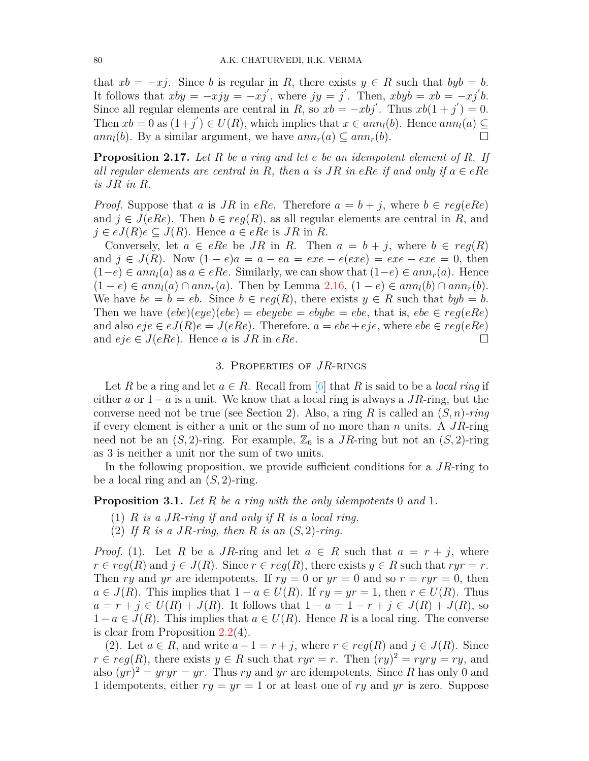that  $xb = -xj$ . Since *b* is regular in *R*, there exists  $y \in R$  such that  $byb = b$ . It follows that  $xby = -xyy = -xj'$ , where  $jy = j'$ . Then,  $xbyb = xb = -xj'b$ . Since all regular elements are central in *R*, so  $xb = -xbj'$ . Thus  $xb(1 + j') = 0$ . Then  $xb = 0$  as  $(1+j') \in U(R)$ , which implies that  $x \in ann_l(b)$ . Hence  $ann_l(a) \subseteq$  $ann_l(b)$ . By a similar argument, we have  $ann_r(a) \subseteq ann_r(b)$ .

**Proposition 2.17.** *Let R be a ring and let e be an idempotent element of R. If all regular elements are central in*  $R$ *, then*  $a$  *is*  $JR$  *in*  $eRe$  *if and only if*  $a \in eRe$ *is JR in R.*

*Proof.* Suppose that *a* is *JR* in *eRe*. Therefore  $a = b + j$ , where  $b \in reg(eRe)$ and  $j \in J(eRe)$ . Then  $b \in reg(R)$ , as all regular elements are central in R, and  $j \in eJ(R)e \subseteq J(R)$ . Hence  $a \in eRe$  is  $JR$  in  $R$ .

Conversely, let  $a \in eRe$  be  $JR$  in  $R$ . Then  $a = b + j$ , where  $b \in reg(R)$ and  $j \in J(R)$ . Now  $(1-e)a = a - ea = exe - e(exe) = exe - exe = 0$ , then  $(1-e) ∈ ann<sub>l</sub>(a)$  as  $a ∈ eRe$ . Similarly, we can show that  $(1-e) ∈ ann<sub>r</sub>(a)$ . Hence  $(1 - e) \in ann<sub>i</sub>(a) \cap ann<sub>r</sub>(a)$ . Then by Lemma [2.16,](#page-6-1)  $(1 - e) \in ann<sub>i</sub>(b) \cap ann<sub>r</sub>(b)$ . We have  $be = b = eb$ . Since  $b \in reg(R)$ , there exists  $y \in R$  such that  $byb = b$ . Then we have  $(ebe)(eye)(ebe) = ebeyebe = ebybe = ebe$ , that is,  $ebe \in reg(eRe)$ and also  $e^i e \in e^j(R)e = J(eRe)$ . Therefore,  $a = ebe + eje$ , where  $ebe \in req(eRe)$ and  $eje \in J(eRe)$ . Hence *a* is *JR* in *eRe*.

### 3. Properties of *JR*-rings

Let *R* be a ring and let  $a \in R$ . Recall from [\[6](#page-11-4)] that *R* is said to be a *local ring* if either *a* or 1*−a* is a unit. We know that a local ring is always a *JR*-ring, but the converse need not be true (see Section 2). Also, a ring *R* is called an (*S, n*)*-ring* if every element is either a unit or the sum of no more than *n* units. A *JR*-ring need not be an  $(S, 2)$ -ring. For example,  $\mathbb{Z}_6$  is a *JR*-ring but not an  $(S, 2)$ -ring as 3 is neither a unit nor the sum of two units.

In the following proposition, we provide sufficient conditions for a *JR*-ring to be a local ring and an (*S,* 2)-ring.

<span id="page-7-0"></span>**Proposition 3.1.** *Let R be a ring with the only idempotents* 0 *and* 1*.*

- (1) *R is a JR-ring if and only if R is a local ring.*
- (2) *If R is a JR-ring, then R is an* (*S,* 2)*-ring.*

*Proof.* (1). Let *R* be a *JR*-ring and let  $a \in R$  such that  $a = r + j$ , where  $r \in reg(R)$  and  $j \in J(R)$ . Since  $r \in reg(R)$ , there exists  $y \in R$  such that  $ryr = r$ . Then *ry* and *yr* are idempotents. If  $ry = 0$  or  $yr = 0$  and so  $r = ryr = 0$ , then *a*  $\in$  *J*(*R*). This implies that 1 − *a*  $\in$  *U*(*R*). If *ry* = *yr* = 1, then *r*  $\in$  *U*(*R*). Thus *a* =  $r + j$  ∈  $U(R) + J(R)$ . It follows that  $1 - a = 1 - r + j$  ∈  $J(R) + J(R)$ , so 1 −  $a \in J(R)$ . This implies that  $a \in U(R)$ . Hence R is a local ring. The converse is clear from Proposition [2.2\(](#page-1-0)4).

(2). Let  $a \in R$ , and write  $a-1 = r + j$ , where  $r \in reg(R)$  and  $j \in J(R)$ . Since  $r \in reg(R)$ , there exists  $y \in R$  such that  $ryr = r$ . Then  $(ry)^2 = ryry = ry$ , and also  $(yr)^2 = yryr = yr$ . Thus *ry* and *yr* are idempotents. Since *R* has only 0 and 1 idempotents, either *ry* = *yr* = 1 or at least one of *ry* and *yr* is zero. Suppose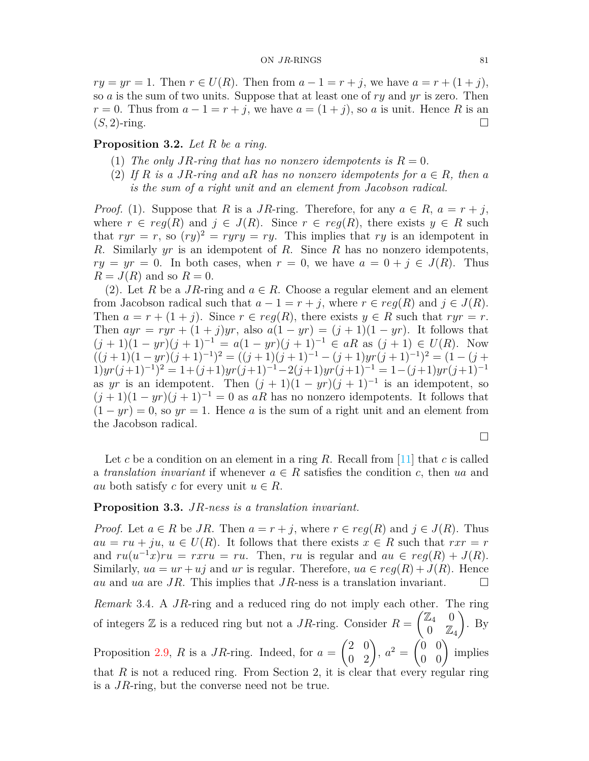*ry* = *yr* = 1. Then *r* ∈ *U*(*R*). Then from  $a - 1 = r + j$ , we have  $a = r + (1 + j)$ , so *a* is the sum of two units. Suppose that at least one of *ry* and *yr* is zero. Then  $r = 0$ . Thus from  $a - 1 = r + j$ , we have  $a = (1 + j)$ , so *a* is unit. Hence *R* is an  $(S, 2)$ -ring. □

**Proposition 3.2.** *Let R be a ring.*

- (1) The only JR-ring that has no nonzero idempotents is  $R = 0$ .
- (2) If  $R$  is a JR-ring and aR has no nonzero idempotents for  $a \in R$ , then a *is the sum of a right unit and an element from Jacobson radical.*

*Proof.* (1). Suppose that *R* is a *JR*-ring. Therefore, for any  $a \in R$ ,  $a = r + j$ , where  $r \in reg(R)$  and  $j \in J(R)$ . Since  $r \in reg(R)$ , there exists  $y \in R$  such that  $ryr = r$ , so  $(ry)^2 = ryry = ry$ . This implies that *ry* is an idempotent in *R*. Similarly *yr* is an idempotent of *R*. Since *R* has no nonzero idempotents,  $ry = yr = 0$ . In both cases, when  $r = 0$ , we have  $a = 0 + j \in J(R)$ . Thus  $R = J(R)$  and so  $R = 0$ .

(2). Let *R* be a *JR*-ring and  $a \in R$ . Choose a regular element and an element from Jacobson radical such that  $a - 1 = r + j$ , where  $r \in reg(R)$  and  $j \in J(R)$ . Then  $a = r + (1 + j)$ . Since  $r \in reg(R)$ , there exists  $y \in R$  such that  $ryr = r$ . Then  $ayr = ryr + (1 + j)yr$ , also  $a(1 - yr) = (j + 1)(1 - yr)$ . It follows that  $(j + 1)(1 - yr)(j + 1)^{-1} = a(1 - yr)(j + 1)^{-1} \in aR$  as  $(j + 1) \in U(R)$ . Now  $((j+1)(1-yr)(j+1)^{-1})^2 = ((j+1)(j+1)^{-1} - (j+1)yr(j+1)^{-1})^2 = (1-(j+1)yr(j+1)^{-1})^2$  $1)$ *yr*(*j*+1)<sup>-1</sup>)<sup>2</sup> = 1+(*j*+1)*yr*(*j*+1)<sup>-1</sup> −2(*j*+1)*yr*(*j*+1)<sup>-1</sup> = 1-(*j*+1)*yr*(*j*+1)<sup>-1</sup> as *yr* is an idempotent. Then  $(j + 1)(1 - yr)(j + 1)^{-1}$  is an idempotent, so  $(j+1)(1 - yr)(j+1)^{-1} = 0$  as *aR* has no nonzero idempotents. It follows that  $(1 - yr) = 0$ , so  $yr = 1$ . Hence *a* is the sum of a right unit and an element from the Jacobson radical.

□

Let *c* be a condition on an element in a ring *R*. Recall from [\[11\]](#page-11-10) that *c* is called a *translation invariant* if whenever  $a \in R$  satisfies the condition *c*, then *ua* and *au* both satisfy *c* for every unit  $u \in R$ .

### **Proposition 3.3.** *JR-ness is a translation invariant.*

*Proof.* Let  $a \in R$  be *JR*. Then  $a = r + j$ , where  $r \in reg(R)$  and  $j \in J(R)$ . Thus  $au = ru + ju, u \in U(R)$ . It follows that there exists  $x \in R$  such that  $rxr = r$ and  $ru(u^{-1}x)ru = rxru = ru$ . Then, *ru* is regular and  $au \in reg(R) + J(R)$ . Similarly,  $ua = ur + uj$  and *ur* is regular. Therefore,  $ua \in reg(R) + J(R)$ . Hence *au* and *ua* are *JR*. This implies that *JR*-ness is a translation invariant.  $\Box$ 

*Remark* 3.4*.* A *JR*-ring and a reduced ring do not imply each other. The ring of integers  $\mathbb Z$  is a reduced ring but not a *JR*-ring. Consider  $R =$  $\begin{pmatrix} \mathbb{Z}_4 & 0 \end{pmatrix}$  $0 \quad \mathbb{Z}_4$  $\setminus$ . By Proposition [2.9,](#page-3-0) *R* is a *JR*-ring. Indeed, for  $a =$  $\begin{pmatrix} 2 & 0 \\ 0 & 2 \end{pmatrix}$ ,  $a^2 =$  $\begin{pmatrix} 0 & 0 \\ 0 & 0 \end{pmatrix}$  implies that *R* is not a reduced ring. From Section 2, it is clear that every regular ring is a *JR*-ring, but the converse need not be true.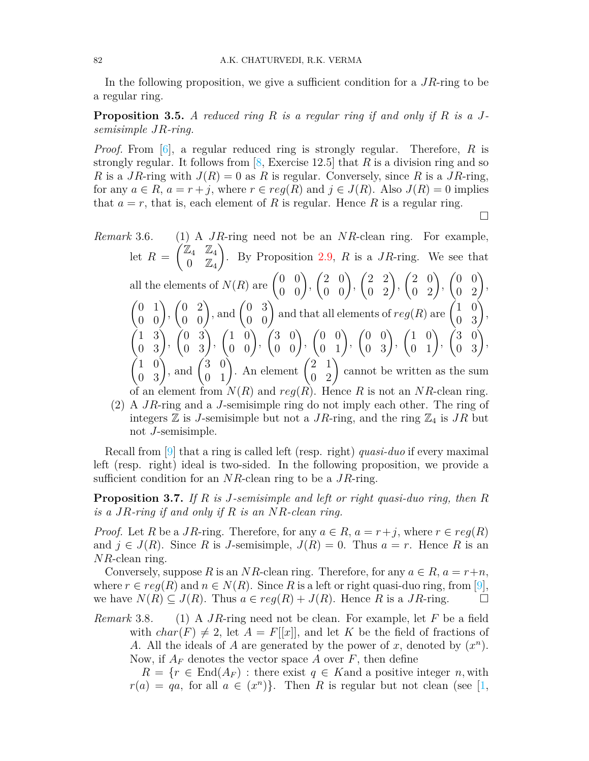In the following proposition, we give a sufficient condition for a *JR*-ring to be a regular ring.

**Proposition 3.5.** *A reduced ring R is a regular ring if and only if R is a Jsemisimple JR-ring.*

*Proof.* From [\[6](#page-11-4)], a regular reduced ring is strongly regular. Therefore, *R* is strongly regular. It follows from [\[8](#page-11-9), Exercise 12.5] that *R* is a division ring and so *R* is a *JR*-ring with  $J(R) = 0$  as *R* is regular. Conversely, since *R* is a *JR*-ring, for any  $a \in R$ ,  $a = r + j$ , where  $r \in reg(R)$  and  $j \in J(R)$ . Also  $J(R) = 0$  implies that  $a = r$ , that is, each element of R is regular. Hence R is a regular ring.

□

*Remark* 3.6*.* (1) A *JR*-ring need not be an *NR*-clean ring. For example, let  $R =$  $\angle$   $\mathbb{Z}_4$   $\mathbb{Z}_4$  $0 \quad \mathbb{Z}_4$  $\setminus$ . By Proposition [2.9,](#page-3-0) *R* is a *JR*-ring. We see that all the elements of  $N(R)$  are  $\begin{pmatrix} 0 & 0 \\ 0 & 0 \end{pmatrix}$ ,  $\begin{pmatrix} 2 & 0 \\ 0 & 0 \end{pmatrix}$  $\begin{pmatrix} 2 & 2 \\ 0 & 2 \end{pmatrix}$  $\begin{pmatrix} 2 & 0 \\ 0 & 2 \end{pmatrix}$  $\begin{pmatrix} 0 & 0 \\ 0 & 2 \end{pmatrix}$  $\begin{pmatrix} 0 & 1 \\ 0 & 0 \end{pmatrix}$  $\begin{pmatrix} 0 & 2 \\ 0 & 0 \end{pmatrix}$ , and  $\begin{pmatrix} 0 & 3 \\ 0 & 0 \end{pmatrix}$  and that all elements of  $reg(R)$  are  $\begin{pmatrix} 1 & 0 \\ 0 & 3 \end{pmatrix}$ ,  $\begin{pmatrix} 1 & 3 \\ 0 & 3 \end{pmatrix}$  $\left(\begin{matrix} 0 & 3 \\ 0 & 3 \end{matrix}\right)$  $\begin{pmatrix} 1 & 0 \\ 0 & 0 \end{pmatrix}$  $\begin{pmatrix} 3 & 0 \\ 0 & 0 \end{pmatrix}$  $\begin{pmatrix} 0 & 0 \\ 0 & 1 \end{pmatrix}$  $\begin{pmatrix} 0 & 0 \\ 0 & 3 \end{pmatrix}$  $\begin{pmatrix} 1 & 0 \\ 0 & 1 \end{pmatrix}$  $\begin{pmatrix} 3 & 0 \\ 0 & 3 \end{pmatrix}$  $\begin{pmatrix} 1 & 0 \\ 0 & 3 \end{pmatrix}$ , and  $\begin{pmatrix} 3 & 0 \\ 0 & 1 \end{pmatrix}$ . An element  $\begin{pmatrix} 2 & 1 \\ 0 & 2 \end{pmatrix}$  cannot be written as the sum of an element from  $N(R)$  and  $reg(R)$ . Hence R is not an  $NR$ -clean ring.

(2) A *JR*-ring and a *J*-semisimple ring do not imply each other. The ring of integers  $\mathbb{Z}$  is *J*-semisimple but not a *JR*-ring, and the ring  $\mathbb{Z}_4$  is *JR* but not *J*-semisimple.

Recall from[[9\]](#page-11-11) that a ring is called left (resp. right) *quasi-duo* if every maximal left (resp. right) ideal is two-sided. In the following proposition, we provide a sufficient condition for an *NR*-clean ring to be a *JR*-ring.

**Proposition 3.7.** *If R is J-semisimple and left or right quasi-duo ring, then R is a JR-ring if and only if R is an NR-clean ring.*

*Proof.* Let *R* be a *JR*-ring. Therefore, for any  $a \in R$ ,  $a = r + j$ , where  $r \in reg(R)$ and  $j \in J(R)$ . Since R is *J*-semisimple,  $J(R) = 0$ . Thus  $a = r$ . Hence R is an *NR*-clean ring.

Conversely, suppose *R* is an *NR*-clean ring. Therefore, for any  $a \in R$ ,  $a = r+n$ , where  $r \in \text{reg}(R)$  and  $n \in N(R)$ . Since R is a left or right quasi-duo ring, from [[9\]](#page-11-11), we have  $N(R) \subseteq J(R)$ . Thus  $a \in reg(R) + J(R)$ . Hence R is a  $JR$ -ring.  $\Box$ 

*Remark* 3.8*.* (1) A *JR*-ring need not be clean. For example, let *F* be a field with  $char(F) \neq 2$ , let  $A = F[[x]]$ , and let K be the field of fractions of *A*. All the ideals of *A* are generated by the power of *x*, denoted by  $(x^n)$ . Now, if  $A_F$  denotes the vector space A over  $F$ , then define

 $R = \{r \in \text{End}(A_F) : \text{there exist } q \in K \text{ and a positive integer } n, \text{with }$  $r(a) = qa$ , for all  $a \in (x^n)$ . Then *R* is regular but not clean (see [\[1,](#page-10-0)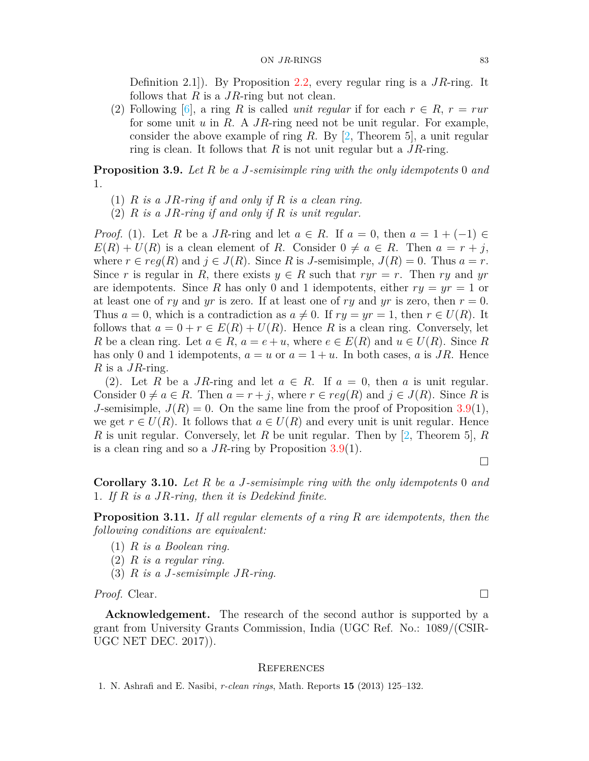Definition 2.1]). By Proposition [2.2,](#page-1-0) every regular ring is a *JR*-ring. It follows that *R* is a *JR*-ring but not clean.

(2) Following  $[6]$  $[6]$  $[6]$ , a ring *R* is called *unit regular* if for each  $r \in R$ ,  $r = r u r$ for some unit *u* in *R*. A *JR*-ring need not be unit regular. For example, consider the above example of ring *R*. By [\[2](#page-11-12), Theorem 5], a unit regular ring is clean. It follows that *R* is not unit regular but a *JR*-ring.

<span id="page-10-1"></span>**Proposition 3.9.** *Let R be a J-semisimple ring with the only idempotents* 0 *and* 1*.*

- (1) *R is a JR-ring if and only if R is a clean ring.*
- (2) *R is a JR-ring if and only if R is unit regular.*

*Proof.* (1). Let *R* be a *JR*-ring and let  $a \in R$ . If  $a = 0$ , then  $a = 1 + (-1) \in$  $E(R) + U(R)$  is a clean element of *R*. Consider  $0 \neq a \in R$ . Then  $a = r + j$ , where  $r \in reg(R)$  and  $j \in J(R)$ . Since R is *J*-semisimple,  $J(R) = 0$ . Thus  $a = r$ . Since *r* is regular in *R*, there exists  $y \in R$  such that  $ryr = r$ . Then *ry* and  $yr$ are idempotents. Since R has only 0 and 1 idempotents, either  $ry = yr = 1$  or at least one of *ry* and *yr* is zero. If at least one of *ry* and *yr* is zero, then  $r = 0$ . Thus  $a = 0$ , which is a contradiction as  $a \neq 0$ . If  $ry = yr = 1$ , then  $r \in U(R)$ . It follows that  $a = 0 + r \in E(R) + U(R)$ . Hence R is a clean ring. Conversely, let *R* be a clean ring. Let  $a \in R$ ,  $a = e + u$ , where  $e \in E(R)$  and  $u \in U(R)$ . Since R has only 0 and 1 idempotents,  $a = u$  or  $a = 1 + u$ . In both cases, *a* is *JR*. Hence *R* is a *JR*-ring.

(2). Let *R* be a *JR*-ring and let  $a \in R$ . If  $a = 0$ , then *a* is unit regular. Consider  $0 \neq a \in R$ . Then  $a = r + j$ , where  $r \in reg(R)$  and  $j \in J(R)$ . Since R is *J*-semisimple,  $J(R) = 0$ . On the same line from the proof of Proposition [3.9](#page-10-1)(1), we get  $r \in U(R)$ . It follows that  $a \in U(R)$  and every unit is unit regular. Hence *R* is unit regular. Conversely, let *R* be unit regular. Then by[[2,](#page-11-12) Theorem 5], *R* is a clean ring and so a *JR*-ring by Proposition [3.9](#page-10-1)(1).

□

**Corollary 3.10.** *Let R be a J-semisimple ring with the only idempotents* 0 *and* 1*. If R is a JR-ring, then it is Dedekind finite.*

**Proposition 3.11.** *If all regular elements of a ring R are idempotents, then the following conditions are equivalent:*

- (1) *R is a Boolean ring.*
- (2) *R is a regular ring.*
- (3) *R is a J-semisimple JR-ring.*

*Proof.* Clear. □

**Acknowledgement.** The research of the second author is supported by a grant from University Grants Commission, India (UGC Ref. No.: 1089/(CSIR-UGC NET DEC. 2017)).

#### **REFERENCES**

<span id="page-10-0"></span>1. N. Ashrafi and E. Nasibi, *r-clean rings*, Math. Reports **15** (2013) 125–132.